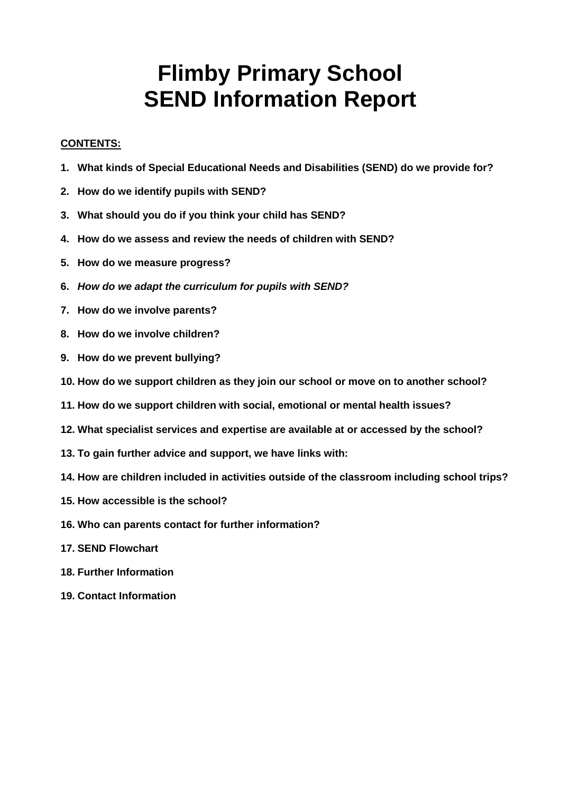# **Flimby Primary School SEND Information Report**

#### **CONTENTS:**

- **1. What kinds of Special Educational Needs and Disabilities (SEND) do we provide for?**
- **2. How do we identify pupils with SEND?**
- **3. What should you do if you think your child has SEND?**
- **4. How do we assess and review the needs of children with SEND?**
- **5. How do we measure progress?**
- **6.** *How do we adapt the curriculum for pupils with SEND?*
- **7. How do we involve parents?**
- **8. How do we involve children?**
- **9. How do we prevent bullying?**
- **10. How do we support children as they join our school or move on to another school?**
- **11. How do we support children with social, emotional or mental health issues?**
- **12. What specialist services and expertise are available at or accessed by the school?**
- **13. To gain further advice and support, we have links with:**
- **14. How are children included in activities outside of the classroom including school trips?**
- **15. How accessible is the school?**
- **16. Who can parents contact for further information?**
- **17. SEND Flowchart**
- **18. Further Information**
- **19. Contact Information**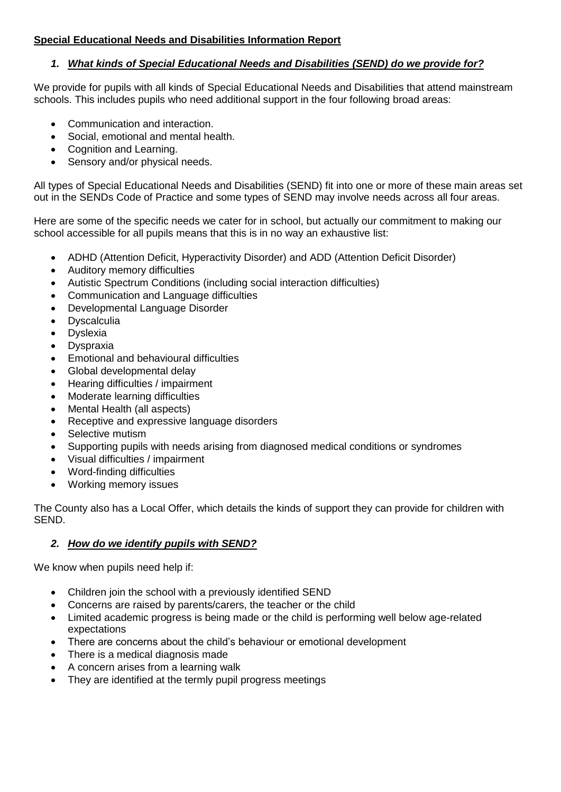# **Special Educational Needs and Disabilities Information Report**

#### *1. What kinds of Special Educational Needs and Disabilities (SEND) do we provide for?*

We provide for pupils with all kinds of Special Educational Needs and Disabilities that attend mainstream schools. This includes pupils who need additional support in the four following broad areas:

- Communication and interaction.
- Social, emotional and mental health.
- Cognition and Learning.
- Sensory and/or physical needs.

All types of Special Educational Needs and Disabilities (SEND) fit into one or more of these main areas set out in the SENDs Code of Practice and some types of SEND may involve needs across all four areas.

Here are some of the specific needs we cater for in school, but actually our commitment to making our school accessible for all pupils means that this is in no way an exhaustive list:

- ADHD (Attention Deficit, Hyperactivity Disorder) and ADD (Attention Deficit Disorder)
- Auditory memory difficulties
- Autistic Spectrum Conditions (including social interaction difficulties)
- Communication and Language difficulties
- Developmental Language Disorder
- Dyscalculia
- Dyslexia
- Dyspraxia
- Emotional and behavioural difficulties
- Global developmental delay
- Hearing difficulties / impairment
- Moderate learning difficulties
- Mental Health (all aspects)
- Receptive and expressive language disorders
- Selective mutism
- Supporting pupils with needs arising from diagnosed medical conditions or syndromes
- Visual difficulties / impairment
- Word-finding difficulties
- Working memory issues

The County also has a Local Offer, which details the kinds of support they can provide for children with SEND.

# *2. How do we identify pupils with SEND?*

We know when pupils need help if:

- Children join the school with a previously identified SEND
- Concerns are raised by parents/carers, the teacher or the child
- Limited academic progress is being made or the child is performing well below age-related expectations
- There are concerns about the child's behaviour or emotional development
- There is a medical diagnosis made
- A concern arises from a learning walk
- They are identified at the termly pupil progress meetings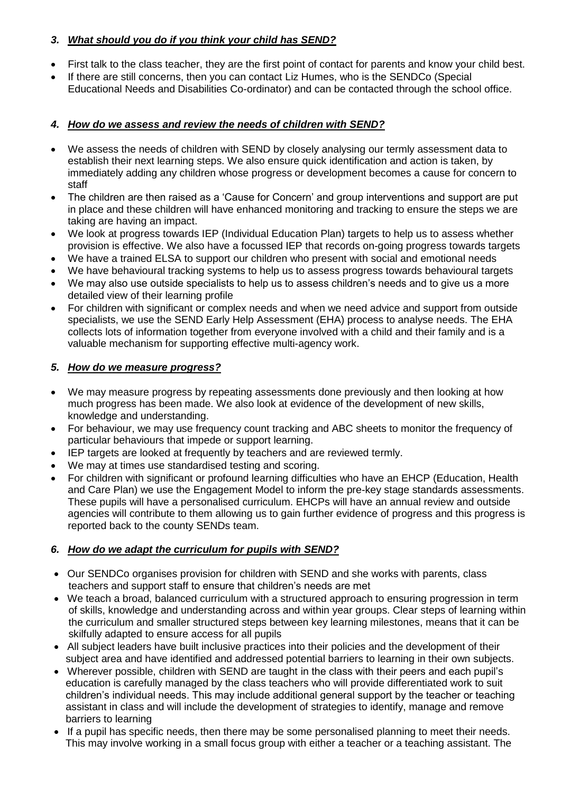# *3. What should you do if you think your child has SEND?*

- First talk to the class teacher, they are the first point of contact for parents and know your child best.
- If there are still concerns, then you can contact Liz Humes, who is the SENDCo (Special Educational Needs and Disabilities Co-ordinator) and can be contacted through the school office.

#### *4. How do we assess and review the needs of children with SEND?*

- We assess the needs of children with SEND by closely analysing our termly assessment data to establish their next learning steps. We also ensure quick identification and action is taken, by immediately adding any children whose progress or development becomes a cause for concern to staff
- The children are then raised as a 'Cause for Concern' and group interventions and support are put in place and these children will have enhanced monitoring and tracking to ensure the steps we are taking are having an impact.
- We look at progress towards IEP (Individual Education Plan) targets to help us to assess whether provision is effective. We also have a focussed IEP that records on-going progress towards targets
- We have a trained ELSA to support our children who present with social and emotional needs
- We have behavioural tracking systems to help us to assess progress towards behavioural targets
- We may also use outside specialists to help us to assess children's needs and to give us a more detailed view of their learning profile
- For children with significant or complex needs and when we need advice and support from outside specialists, we use the SEND Early Help Assessment (EHA) process to analyse needs. The EHA collects lots of information together from everyone involved with a child and their family and is a valuable mechanism for supporting effective multi-agency work.

#### *5. How do we measure progress?*

- We may measure progress by repeating assessments done previously and then looking at how much progress has been made. We also look at evidence of the development of new skills, knowledge and understanding.
- For behaviour, we may use frequency count tracking and ABC sheets to monitor the frequency of particular behaviours that impede or support learning.
- IEP targets are looked at frequently by teachers and are reviewed termly.
- We may at times use standardised testing and scoring.
- For children with significant or profound learning difficulties who have an EHCP (Education, Health and Care Plan) we use the Engagement Model to inform the pre-key stage standards assessments. These pupils will have a personalised curriculum. EHCPs will have an annual review and outside agencies will contribute to them allowing us to gain further evidence of progress and this progress is reported back to the county SENDs team.

# *6. How do we adapt the curriculum for pupils with SEND?*

- Our SENDCo organises provision for children with SEND and she works with parents, class teachers and support staff to ensure that children's needs are met
- We teach a broad, balanced curriculum with a structured approach to ensuring progression in term of skills, knowledge and understanding across and within year groups. Clear steps of learning within the curriculum and smaller structured steps between key learning milestones, means that it can be skilfully adapted to ensure access for all pupils
- All subject leaders have built inclusive practices into their policies and the development of their subject area and have identified and addressed potential barriers to learning in their own subjects.
- Wherever possible, children with SEND are taught in the class with their peers and each pupil's education is carefully managed by the class teachers who will provide differentiated work to suit children's individual needs. This may include additional general support by the teacher or teaching assistant in class and will include the development of strategies to identify, manage and remove barriers to learning
- If a pupil has specific needs, then there may be some personalised planning to meet their needs. This may involve working in a small focus group with either a teacher or a teaching assistant. The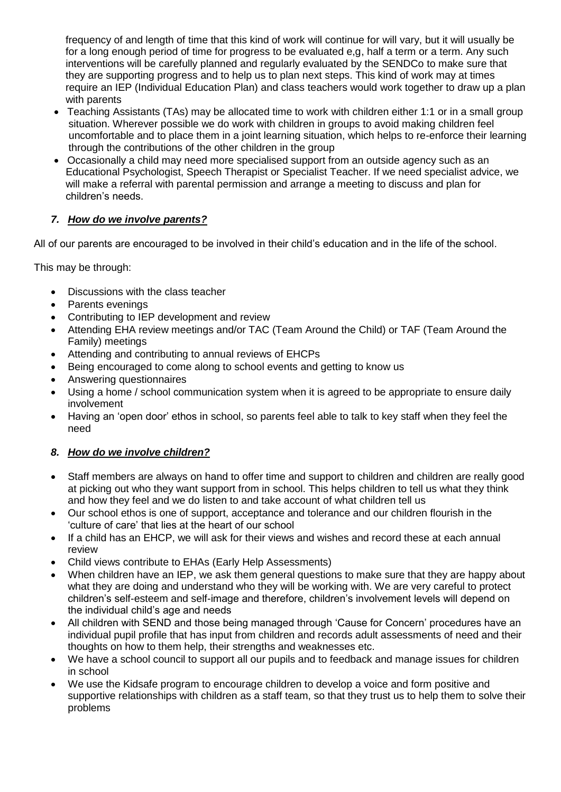frequency of and length of time that this kind of work will continue for will vary, but it will usually be for a long enough period of time for progress to be evaluated e,g, half a term or a term. Any such interventions will be carefully planned and regularly evaluated by the SENDCo to make sure that they are supporting progress and to help us to plan next steps. This kind of work may at times require an IEP (Individual Education Plan) and class teachers would work together to draw up a plan with parents

- Teaching Assistants (TAs) may be allocated time to work with children either 1:1 or in a small group situation. Wherever possible we do work with children in groups to avoid making children feel uncomfortable and to place them in a joint learning situation, which helps to re-enforce their learning through the contributions of the other children in the group
- Occasionally a child may need more specialised support from an outside agency such as an Educational Psychologist, Speech Therapist or Specialist Teacher. If we need specialist advice, we will make a referral with parental permission and arrange a meeting to discuss and plan for children's needs.

# *7. How do we involve parents?*

All of our parents are encouraged to be involved in their child's education and in the life of the school.

This may be through:

- Discussions with the class teacher
- Parents evenings
- Contributing to IEP development and review
- Attending EHA review meetings and/or TAC (Team Around the Child) or TAF (Team Around the Family) meetings
- Attending and contributing to annual reviews of EHCPs
- Being encouraged to come along to school events and getting to know us
- Answering questionnaires
- Using a home / school communication system when it is agreed to be appropriate to ensure daily involvement
- Having an 'open door' ethos in school, so parents feel able to talk to key staff when they feel the need

# *8. How do we involve children?*

- Staff members are always on hand to offer time and support to children and children are really good at picking out who they want support from in school. This helps children to tell us what they think and how they feel and we do listen to and take account of what children tell us
- Our school ethos is one of support, acceptance and tolerance and our children flourish in the 'culture of care' that lies at the heart of our school
- If a child has an EHCP, we will ask for their views and wishes and record these at each annual review
- Child views contribute to EHAs (Early Help Assessments)
- When children have an IEP, we ask them general questions to make sure that they are happy about what they are doing and understand who they will be working with. We are very careful to protect children's self-esteem and self-image and therefore, children's involvement levels will depend on the individual child's age and needs
- All children with SEND and those being managed through 'Cause for Concern' procedures have an individual pupil profile that has input from children and records adult assessments of need and their thoughts on how to them help, their strengths and weaknesses etc.
- We have a school council to support all our pupils and to feedback and manage issues for children in school
- We use the Kidsafe program to encourage children to develop a voice and form positive and supportive relationships with children as a staff team, so that they trust us to help them to solve their problems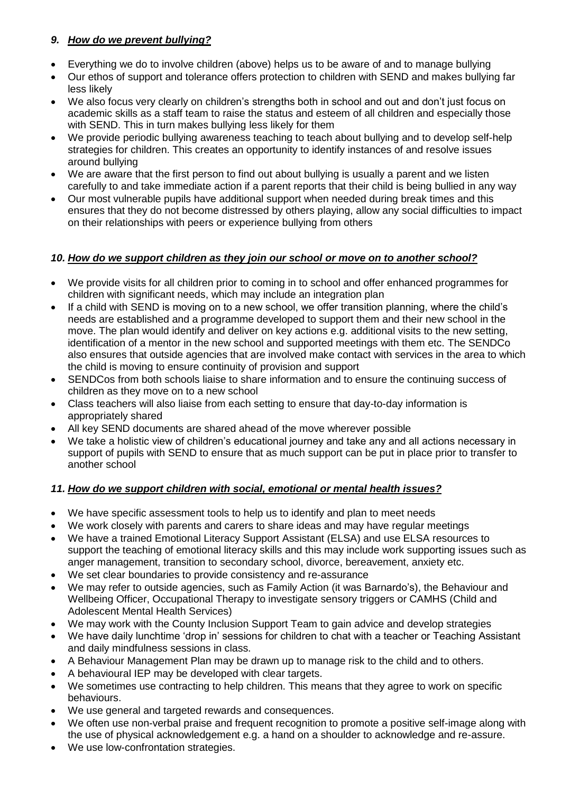# *9. How do we prevent bullying?*

- Everything we do to involve children (above) helps us to be aware of and to manage bullying
- Our ethos of support and tolerance offers protection to children with SEND and makes bullying far less likely
- We also focus very clearly on children's strengths both in school and out and don't just focus on academic skills as a staff team to raise the status and esteem of all children and especially those with SEND. This in turn makes bullying less likely for them
- We provide periodic bullying awareness teaching to teach about bullying and to develop self-help strategies for children. This creates an opportunity to identify instances of and resolve issues around bullying
- We are aware that the first person to find out about bullying is usually a parent and we listen carefully to and take immediate action if a parent reports that their child is being bullied in any way
- Our most vulnerable pupils have additional support when needed during break times and this ensures that they do not become distressed by others playing, allow any social difficulties to impact on their relationships with peers or experience bullying from others

# *10. How do we support children as they join our school or move on to another school?*

- We provide visits for all children prior to coming in to school and offer enhanced programmes for children with significant needs, which may include an integration plan
- If a child with SEND is moving on to a new school, we offer transition planning, where the child's needs are established and a programme developed to support them and their new school in the move. The plan would identify and deliver on key actions e.g. additional visits to the new setting, identification of a mentor in the new school and supported meetings with them etc. The SENDCo also ensures that outside agencies that are involved make contact with services in the area to which the child is moving to ensure continuity of provision and support
- SENDCos from both schools liaise to share information and to ensure the continuing success of children as they move on to a new school
- Class teachers will also liaise from each setting to ensure that day-to-day information is appropriately shared
- All key SEND documents are shared ahead of the move wherever possible
- We take a holistic view of children's educational journey and take any and all actions necessary in support of pupils with SEND to ensure that as much support can be put in place prior to transfer to another school

# *11. How do we support children with social, emotional or mental health issues?*

- We have specific assessment tools to help us to identify and plan to meet needs
- We work closely with parents and carers to share ideas and may have regular meetings
- We have a trained Emotional Literacy Support Assistant (ELSA) and use ELSA resources to support the teaching of emotional literacy skills and this may include work supporting issues such as anger management, transition to secondary school, divorce, bereavement, anxiety etc.
- We set clear boundaries to provide consistency and re-assurance
- We may refer to outside agencies, such as Family Action (it was Barnardo's), the Behaviour and Wellbeing Officer, Occupational Therapy to investigate sensory triggers or CAMHS (Child and Adolescent Mental Health Services)
- We may work with the County Inclusion Support Team to gain advice and develop strategies
- We have daily lunchtime 'drop in' sessions for children to chat with a teacher or Teaching Assistant and daily mindfulness sessions in class.
- A Behaviour Management Plan may be drawn up to manage risk to the child and to others.
- A behavioural IEP may be developed with clear targets.
- We sometimes use contracting to help children. This means that they agree to work on specific behaviours.
- We use general and targeted rewards and consequences.
- We often use non-verbal praise and frequent recognition to promote a positive self-image along with the use of physical acknowledgement e.g. a hand on a shoulder to acknowledge and re-assure.
- We use low-confrontation strategies.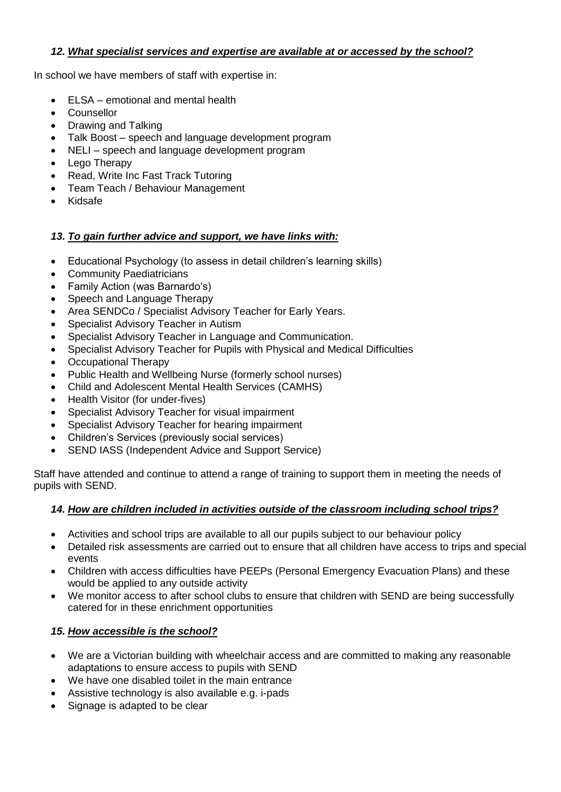# *12. What specialist services and expertise are available at or accessed by the school?*

In school we have members of staff with expertise in:

- ELSA emotional and mental health
- Counsellor
- Drawing and Talking
- Talk Boost speech and language development program
- NELI speech and language development program
- Lego Therapy
- Read, Write Inc Fast Track Tutoring
- Team Teach / Behaviour Management
- Kidsafe

# *13. To gain further advice and support, we have links with:*

- Educational Psychology (to assess in detail children's learning skills)
- Community Paediatricians
- Family Action (was Barnardo's)
- Speech and Language Therapy
- Area SENDCo / Specialist Advisory Teacher for Early Years.
- Specialist Advisory Teacher in Autism
- Specialist Advisory Teacher in Language and Communication.
- Specialist Advisory Teacher for Pupils with Physical and Medical Difficulties
- Occupational Therapy
- Public Health and Wellbeing Nurse (formerly school nurses)
- Child and Adolescent Mental Health Services (CAMHS)
- Health Visitor (for under-fives)
- Specialist Advisory Teacher for visual impairment
- Specialist Advisory Teacher for hearing impairment
- Children's Services (previously social services)
- SEND IASS (Independent Advice and Support Service)

Staff have attended and continue to attend a range of training to support them in meeting the needs of pupils with SEND.

# *14. How are children included in activities outside of the classroom including school trips?*

- Activities and school trips are available to all our pupils subject to our behaviour policy
- Detailed risk assessments are carried out to ensure that all children have access to trips and special events
- Children with access difficulties have PEEPs (Personal Emergency Evacuation Plans) and these would be applied to any outside activity
- We monitor access to after school clubs to ensure that children with SEND are being successfully catered for in these enrichment opportunities

# *15. How accessible is the school?*

- We are a Victorian building with wheelchair access and are committed to making any reasonable adaptations to ensure access to pupils with SEND
- We have one disabled toilet in the main entrance
- Assistive technology is also available e.g. i-pads
- Signage is adapted to be clear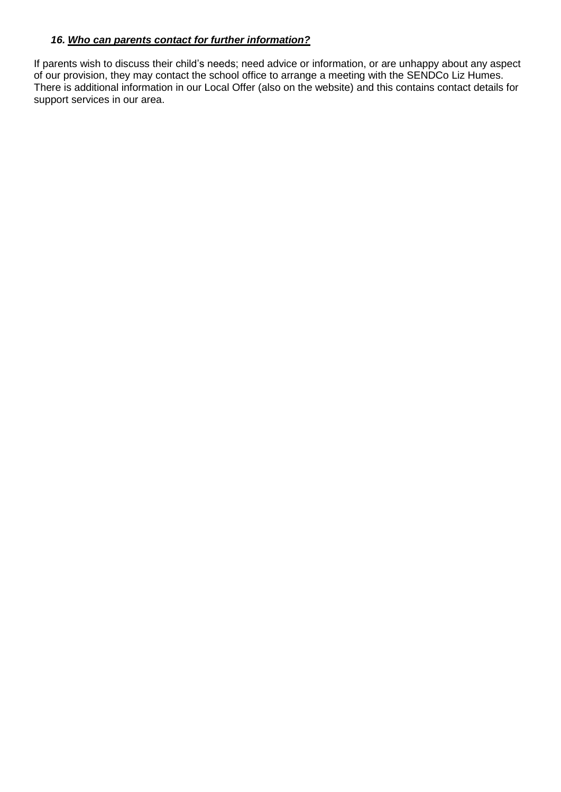#### *16. Who can parents contact for further information?*

If parents wish to discuss their child's needs; need advice or information, or are unhappy about any aspect of our provision, they may contact the school office to arrange a meeting with the SENDCo Liz Humes. There is additional information in our Local Offer (also on the website) and this contains contact details for support services in our area.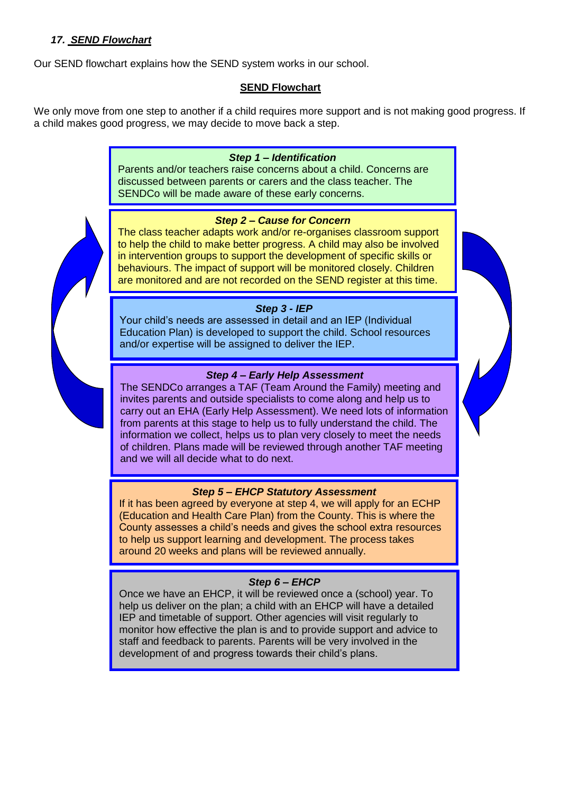#### *17. SEND Flowchart*

Our SEND flowchart explains how the SEND system works in our school.

#### **SEND Flowchart**

We only move from one step to another if a child requires more support and is not making good progress. If a child makes good progress, we may decide to move back a step.

#### *Step 1 – Identification*

Parents and/or teachers raise concerns about a child. Concerns are discussed between parents or carers and the class teacher. The SENDCo will be made aware of these early concerns.

#### *Step 2 – Cause for Concern*

The class teacher adapts work and/or re-organises classroom support to help the child to make better progress. A child may also be involved in intervention groups to support the development of specific skills or behaviours. The impact of support will be monitored closely. Children are monitored and are not recorded on the SEND register at this time.

#### *Step 3 - IEP*

Your child's needs are assessed in detail and an IEP (Individual Education Plan) is developed to support the child. School resources and/or expertise will be assigned to deliver the IEP.

#### *Step 4 – Early Help Assessment*

The SENDCo arranges a TAF (Team Around the Family) meeting and invites parents and outside specialists to come along and help us to carry out an EHA (Early Help Assessment). We need lots of information from parents at this stage to help us to fully understand the child. The information we collect, helps us to plan very closely to meet the needs of children. Plans made will be reviewed through another TAF meeting and we will all decide what to do next.

# *Step 5 – EHCP Statutory Assessment*

If it has been agreed by everyone at step 4, we will apply for an ECHP (Education and Health Care Plan) from the County. This is where the County assesses a child's needs and gives the school extra resources to help us support learning and development. The process takes around 20 weeks and plans will be reviewed annually.

#### *Step 6 – EHCP*

Once we have an EHCP, it will be reviewed once a (school) year. To help us deliver on the plan; a child with an EHCP will have a detailed IEP and timetable of support. Other agencies will visit regularly to monitor how effective the plan is and to provide support and advice to staff and feedback to parents. Parents will be very involved in the development of and progress towards their child's plans.